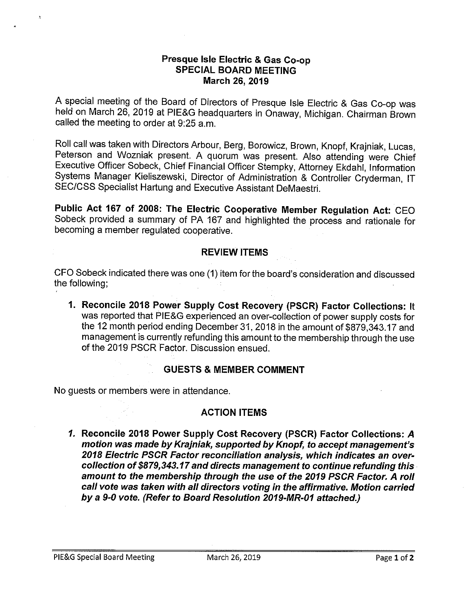#### **Presque Isle Electric & Gas Co-op SPECIAL BOARD MEETING March 26, 2019**

A special meeting of the Board of Directors of Presque Isle Electric & Gas Co-op was held on March 26, 2019 at PIE&G headquarters in Onaway, Michigan. Chairman Brown called the meeting to order at 9:25 a.m.

Roll call was taken with Directors Arbour, Berg, Borowicz, Brown, Knopf, Krajniak, Lucas, Peterson and Wozniak present. A quorum was present. Also attending were Chief Executive Officer Sobeck, Chief Financial Officer Stempky, Attorney Ekdahl, Information Systems Manager Kieliszewski, Director of Administration & Controller Cryderman, IT SEC/CSS Specialist Hartung and Executive Assistant DeMaestri.

**Public Act 167 of 2008: The Electric Cooperative Member Regulation Act:** CEO Sobeck provided a summary of PA 167 and highlighted the process and rationale for becoming a member regulated cooperative.

## **REVIEW ITEMS**

CFO Sobeck indicated there was one (1) item for the board's consideration and discussed the following;

**1. Reconcile 2018 Power Supply Cost Recovery (PSCR) Factor Collections:** It was reported that PIE&G experienced an over-collection of power supply costs for the 12 month period ending December 31, 2018 in the amount of [\\$879,343.17](https://879,343.17) and management is currently refunding this amount to the membership through the use of the 2019 PSCR Factor. Discussion ensued.

## **GUESTS & MEMBER COMMENT**

No guests or members were in attendance.

# **ACTION ITEMS**

*1.* **Reconcile 2018 Power Supply Cost Recovery (PSCR) Factor Collections:** *A*  **motion was made by Krajniak, supported by Knopf, to accept management's 2018 Electric PSCR Factor reconciliation analysis, which indicates an overcollection of\$[879,343.17](https://879,343.17) and directs management to continue refunding this· amount to the membership through the use of the 2019 PSCR Factor. A roll call vote was taken with all directors voting in the affirmative. Motion carried by a 9-0 vote. (Refer to Board Resolution 2019-MR-01 attached.)**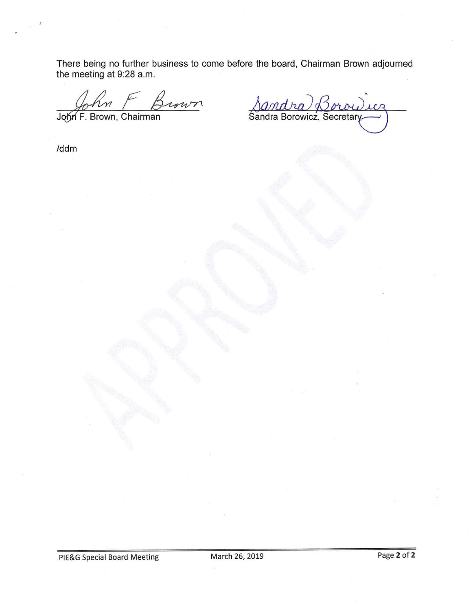There being no further business to come before the board, Chairman Brown adjourned the meeting at 9:28 a.m.

the meeting at 9:28 a.m.<br>  $\begin{array}{ccc}\n\sqrt{6} & \sqrt{6} & \sqrt{6} \\
\hline\nJ\phi\n\end{array}$   $\begin{array}{ccc}\n\sqrt{6} & \sqrt{6} & \sqrt{6} \\
\hline\nJ\phi\n\end{array}$   $\begin{array}{ccc}\n\sqrt{6} & \sqrt{6} \\
\hline\n\end{array}$ 

/ddm